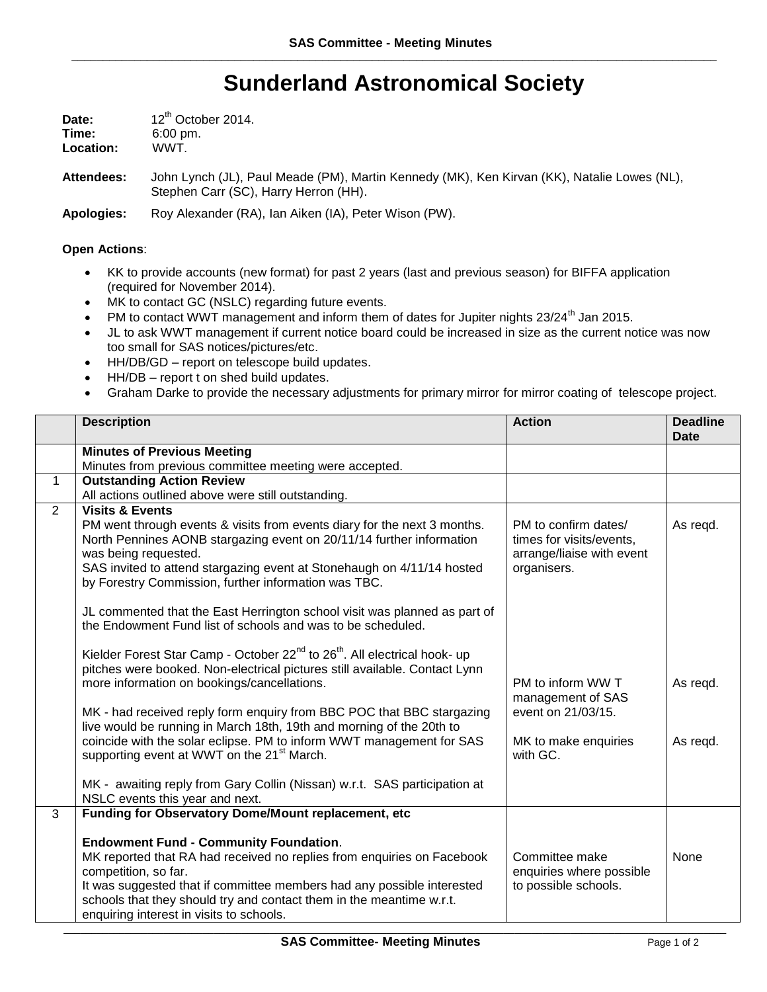## **Sunderland Astronomical Society**

| Date:     | 12 <sup>th</sup> October 2014. |  |
|-----------|--------------------------------|--|
| Time:     | $6:00 \text{ pm}$ .            |  |
| Location: | WWT.                           |  |

**Attendees:** John Lynch (JL), Paul Meade (PM), Martin Kennedy (MK), Ken Kirvan (KK), Natalie Lowes (NL), Stephen Carr (SC), Harry Herron (HH).

**Apologies:** Roy Alexander (RA), Ian Aiken (IA), Peter Wison (PW).

## **Open Actions**:

- KK to provide accounts (new format) for past 2 years (last and previous season) for BIFFA application (required for November 2014).
- MK to contact GC (NSLC) regarding future events.
- PM to contact WWT management and inform them of dates for Jupiter nights 23/24<sup>th</sup> Jan 2015.
- JL to ask WWT management if current notice board could be increased in size as the current notice was now too small for SAS notices/pictures/etc.
- HH/DB/GD report on telescope build updates.
- HH/DB report t on shed build updates.
- Graham Darke to provide the necessary adjustments for primary mirror for mirror coating of telescope project.

|              | <b>Description</b>                                                                                                                                                                                                                                                                                                                            | <b>Action</b>                                                                                    | <b>Deadline</b><br><b>Date</b> |
|--------------|-----------------------------------------------------------------------------------------------------------------------------------------------------------------------------------------------------------------------------------------------------------------------------------------------------------------------------------------------|--------------------------------------------------------------------------------------------------|--------------------------------|
|              | <b>Minutes of Previous Meeting</b>                                                                                                                                                                                                                                                                                                            |                                                                                                  |                                |
|              | Minutes from previous committee meeting were accepted.                                                                                                                                                                                                                                                                                        |                                                                                                  |                                |
| $\mathbf{1}$ | <b>Outstanding Action Review</b>                                                                                                                                                                                                                                                                                                              |                                                                                                  |                                |
|              | All actions outlined above were still outstanding.                                                                                                                                                                                                                                                                                            |                                                                                                  |                                |
| 2            | <b>Visits &amp; Events</b><br>PM went through events & visits from events diary for the next 3 months.<br>North Pennines AONB stargazing event on 20/11/14 further information<br>was being requested.<br>SAS invited to attend stargazing event at Stonehaugh on 4/11/14 hosted<br>by Forestry Commission, further information was TBC.      | PM to confirm dates/<br>times for visits/events,<br>arrange/liaise with event<br>organisers.     | As regd.                       |
|              | JL commented that the East Herrington school visit was planned as part of<br>the Endowment Fund list of schools and was to be scheduled.                                                                                                                                                                                                      |                                                                                                  |                                |
|              | Kielder Forest Star Camp - October 22 <sup>nd</sup> to 26 <sup>th</sup> . All electrical hook- up<br>pitches were booked. Non-electrical pictures still available. Contact Lynn<br>more information on bookings/cancellations.                                                                                                                | PM to inform WW T<br>management of SAS<br>event on 21/03/15.<br>MK to make enquiries<br>with GC. | As regd.                       |
|              | MK - had received reply form enquiry from BBC POC that BBC stargazing<br>live would be running in March 18th, 19th and morning of the 20th to<br>coincide with the solar eclipse. PM to inform WWT management for SAS<br>supporting event at WWT on the 21 <sup>st</sup> March.                                                               |                                                                                                  | As regd.                       |
|              | MK - awaiting reply from Gary Collin (Nissan) w.r.t. SAS participation at<br>NSLC events this year and next.                                                                                                                                                                                                                                  |                                                                                                  |                                |
| 3            | Funding for Observatory Dome/Mount replacement, etc                                                                                                                                                                                                                                                                                           |                                                                                                  |                                |
|              | <b>Endowment Fund - Community Foundation.</b><br>MK reported that RA had received no replies from enquiries on Facebook<br>competition, so far.<br>It was suggested that if committee members had any possible interested<br>schools that they should try and contact them in the meantime w.r.t.<br>enquiring interest in visits to schools. | Committee make<br>enquiries where possible<br>to possible schools.                               | None                           |